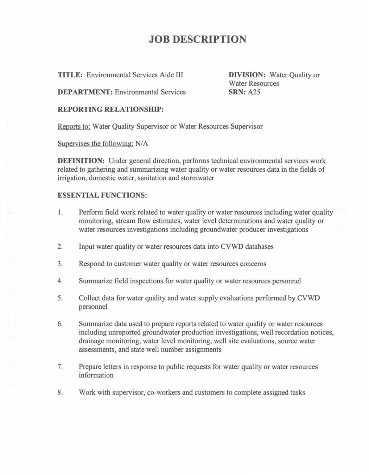# **JOB DESCRIPTION**

**TITLE:** Environmental Services Aide III

**DIVISION:** Water Quality or Water Resources **SRN:** A25

**DEPARTMENT:** Environmental Services

#### **REPORTING RELATIONSHIP:**

Reports to: Water Quality Supervisor or Water Resources Supervisor

Supervises the following: N/A

**DEFINITION:** Under general direction, performs technical environmental services work related to gathering and summarizing water quality or water resources data in the fields of irrigation, domestic water, sanitation and stormwater

## **ESSENTIAL FUNCTIONS:**

- 1. Perform field work related to water quality or water resources including water quality monitoring, stream flow estimates, water level determinations and water quality or water resources investigations including groundwater producer investigations
- 2. Input water quality or water resources data into CVWD databases
- 3. Respond to customer water quality or water resources concerns
- 4. Summarize field inspections for water quality or water resources personnel
- 5. Collect data for water quality and water supply evaluations performed by CVWD personnel
- 6. Summarize data used to prepare reports related to water quality or water resources including unreported groundwater production investigations, well recordation notices, drainage monitoring, water level monitoring, well site evaluations, source water assessments, and state well number assignments
- 7. Prepare letters in response to public requests for water quality or water resources information
- 8. Work with supervisor, co-workers and customers to complete assigned tasks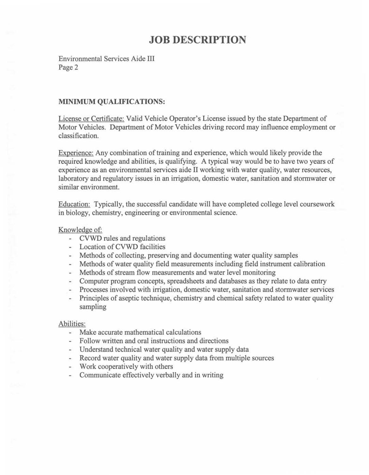# **JOB DESCRIPTION**

Environmental Services Aide III Page 2

# **MINIMUM QUALIFICATIONS:**

License or Certificate: Valid Vehicle Operator's License issued by the state Department of Motor Vehicles. Department of Motor Vehicles driving record may influence employment or classification.

Experience: Any combination of training and experience, which would likely provide the required knowledge and abilities, is qualifying. A typical way would be to have two years of experience as an environmental services aide II working with water quality, water resources, laboratory and regulatory issues in an irrigation, domestic water, sanitation and stormwater or similar environment.

Education: Typically, the successful candidate will have completed college level coursework in biology, chemistry, engineering or environmental science.

## Knowledge of:

- CVWD rules and regulations
- Location of CVWD facilities
- Methods of collecting, preserving and documenting water quality samples
- Methods of water quality field measurements including field instrument calibration
- Methods of stream flow measurements and water level monitoring  $\blacksquare$
- Computer program concepts, spreadsheets and databases as they relate to data entry
- Processes involved with irrigation, domestic water, sanitation and stormwater services
- Principles of aseptic technique, chemistry and chemical safety related to water quality an d sampling

## Abilities:

- Make accurate mathematical calculations u.
- Follow written and oral instructions and directions
- Understand technical water quality and water supply data
- Record water quality and water supply data from multiple sources
- Work cooperatively with others
- Communicate effectively verbally and in writing